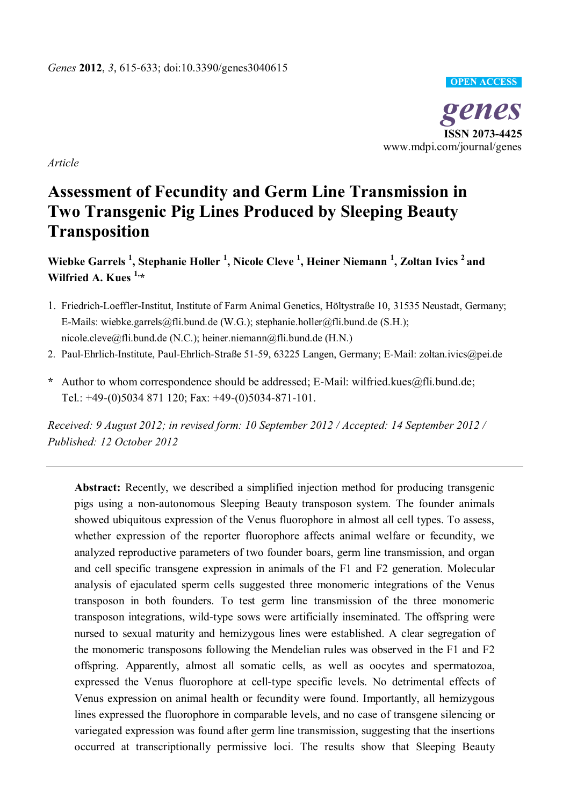#### **OPEN ACCESS**

ISSN 2073-4425<br> *iom/journal/genes* **ISSN 2073-4425**  www.mdpi.com/journal/genes

*Article* 

# **Assessment of Fecundity and Germ Line Transmission in Two Transgenic Pig Lines Produced by Sleeping Beauty Transposition**

**Wiebke Garrels <sup>1</sup> , Stephanie Holler <sup>1</sup> , Nicole Cleve <sup>1</sup> , Heiner Niemann <sup>1</sup> , Zoltan Ivics 2 and Wilfried A. Kues 1,\*** 

- 1. Friedrich-Loeffler-Institut, Institute of Farm Animal Genetics, Höltystraße 10, 31535 Neustadt, Germany; E-Mails: wiebke.garrels@fli.bund.de (W.G.); stephanie.holler@fli.bund.de (S.H.); nicole.cleve@fli.bund.de (N.C.); heiner.niemann@fli.bund.de (H.N.)
- 2. Paul-Ehrlich-Institute, Paul-Ehrlich-Straße 51-59, 63225 Langen, Germany; E-Mail: zoltan.ivics@pei.de
- **\*** Author to whom correspondence should be addressed; E-Mail: wilfried.kues@fli.bund.de; Tel.: +49-(0)5034 871 120; Fax: +49-(0)5034-871-101.

*Received: 9 August 2012; in revised form: 10 September 2012 / Accepted: 14 September 2012 / Published: 12 October 2012* 

**Abstract:** Recently, we described a simplified injection method for producing transgenic pigs using a non-autonomous Sleeping Beauty transposon system. The founder animals showed ubiquitous expression of the Venus fluorophore in almost all cell types. To assess, whether expression of the reporter fluorophore affects animal welfare or fecundity, we analyzed reproductive parameters of two founder boars, germ line transmission, and organ and cell specific transgene expression in animals of the F1 and F2 generation. Molecular analysis of ejaculated sperm cells suggested three monomeric integrations of the Venus transposon in both founders. To test germ line transmission of the three monomeric transposon integrations, wild-type sows were artificially inseminated. The offspring were nursed to sexual maturity and hemizygous lines were established. A clear segregation of the monomeric transposons following the Mendelian rules was observed in the F1 and F2 offspring. Apparently, almost all somatic cells, as well as oocytes and spermatozoa, expressed the Venus fluorophore at cell-type specific levels. No detrimental effects of Venus expression on animal health or fecundity were found. Importantly, all hemizygous lines expressed the fluorophore in comparable levels, and no case of transgene silencing or variegated expression was found after germ line transmission, suggesting that the insertions occurred at transcriptionally permissive loci. The results show that Sleeping Beauty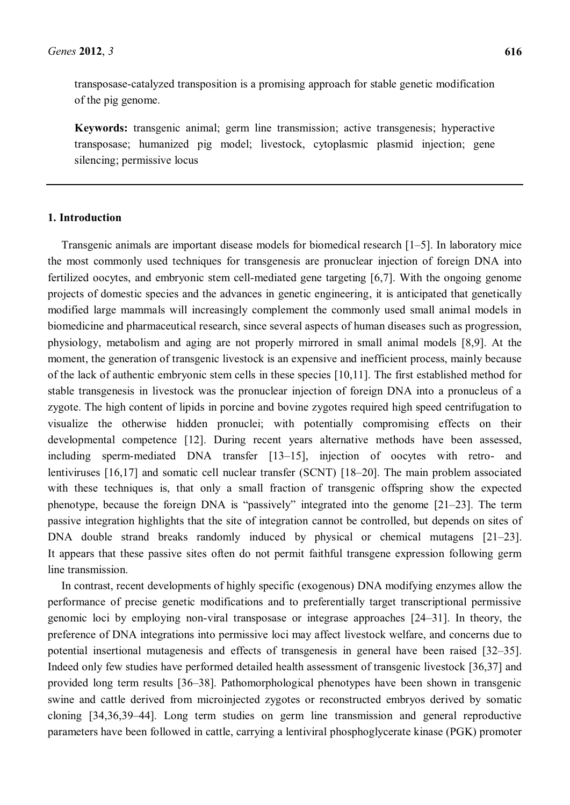transposase-catalyzed transposition is a promising approach for stable genetic modification of the pig genome.

**Keywords:** transgenic animal; germ line transmission; active transgenesis; hyperactive transposase; humanized pig model; livestock, cytoplasmic plasmid injection; gene silencing; permissive locus

## **1. Introduction**

Transgenic animals are important disease models for biomedical research  $[1-5]$ . In laboratory mice the most commonly used techniques for transgenesis are pronuclear injection of foreign DNA into fertilized oocytes, and embryonic stem cell-mediated gene targeting [6,7]. With the ongoing genome projects of domestic species and the advances in genetic engineering, it is anticipated that genetically modified large mammals will increasingly complement the commonly used small animal models in biomedicine and pharmaceutical research, since several aspects of human diseases such as progression, physiology, metabolism and aging are not properly mirrored in small animal models [8,9]. At the moment, the generation of transgenic livestock is an expensive and inefficient process, mainly because of the lack of authentic embryonic stem cells in these species [10,11]. The first established method for stable transgenesis in livestock was the pronuclear injection of foreign DNA into a pronucleus of a zygote. The high content of lipids in porcine and bovine zygotes required high speed centrifugation to visualize the otherwise hidden pronuclei; with potentially compromising effects on their developmental competence [12]. During recent years alternative methods have been assessed, including sperm-mediated DNA transfer [13-15], injection of oocytes with retro- and lentiviruses  $[16,17]$  and somatic cell nuclear transfer (SCNT)  $[18–20]$ . The main problem associated with these techniques is, that only a small fraction of transgenic offspring show the expected phenotype, because the foreign DNA is "passively" integrated into the genome  $[21-23]$ . The term passive integration highlights that the site of integration cannot be controlled, but depends on sites of DNA double strand breaks randomly induced by physical or chemical mutagens  $[21-23]$ . It appears that these passive sites often do not permit faithful transgene expression following germ line transmission.

In contrast, recent developments of highly specific (exogenous) DNA modifying enzymes allow the performance of precise genetic modifications and to preferentially target transcriptional permissive genomic loci by employing non-viral transposase or integrase approaches  $[24–31]$ . In theory, the preference of DNA integrations into permissive loci may affect livestock welfare, and concerns due to potential insertional mutagenesis and effects of transgenesis in general have been raised [32–35]. Indeed only few studies have performed detailed health assessment of transgenic livestock [36,37] and provided long term results [36-38]. Pathomorphological phenotypes have been shown in transgenic swine and cattle derived from microinjected zygotes or reconstructed embryos derived by somatic cloning [34,36,39-44]. Long term studies on germ line transmission and general reproductive parameters have been followed in cattle, carrying a lentiviral phosphoglycerate kinase (PGK) promoter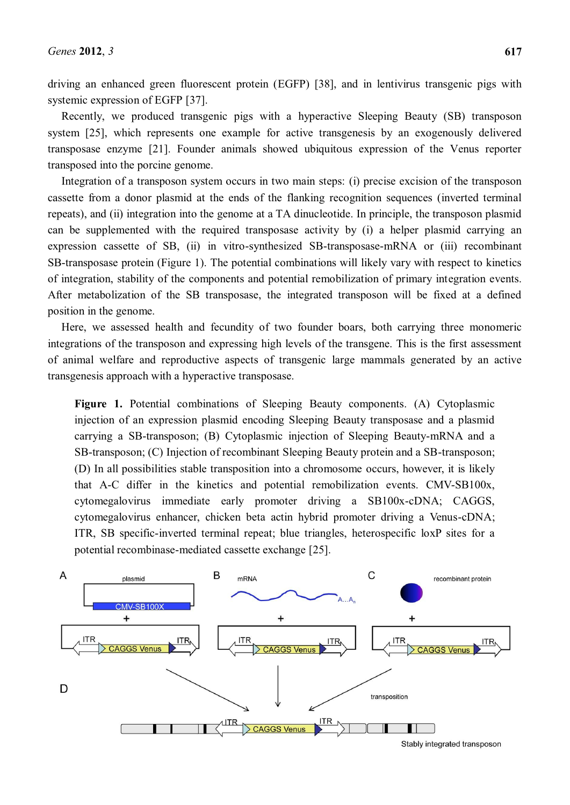driving an enhanced green fluorescent protein (EGFP) [38], and in lentivirus transgenic pigs with systemic expression of EGFP [37].

Recently, we produced transgenic pigs with a hyperactive Sleeping Beauty (SB) transposon system [25], which represents one example for active transgenesis by an exogenously delivered transposase enzyme [21]. Founder animals showed ubiquitous expression of the Venus reporter transposed into the porcine genome.

Integration of a transposon system occurs in two main steps: (i) precise excision of the transposon cassette from a donor plasmid at the ends of the flanking recognition sequences (inverted terminal repeats), and (ii) integration into the genome at a TA dinucleotide. In principle, the transposon plasmid can be supplemented with the required transposase activity by (i) a helper plasmid carrying an expression cassette of SB, (ii) in vitro-synthesized SB-transposase-mRNA or (iii) recombinant SB-transposase protein (Figure 1). The potential combinations will likely vary with respect to kinetics of integration, stability of the components and potential remobilization of primary integration events. After metabolization of the SB transposase, the integrated transposon will be fixed at a defined position in the genome.

Here, we assessed health and fecundity of two founder boars, both carrying three monomeric integrations of the transposon and expressing high levels of the transgene. This is the first assessment of animal welfare and reproductive aspects of transgenic large mammals generated by an active transgenesis approach with a hyperactive transposase.

**Figure 1.** Potential combinations of Sleeping Beauty components. (A) Cytoplasmic injection of an expression plasmid encoding Sleeping Beauty transposase and a plasmid carrying a SB-transposon; (B) Cytoplasmic injection of Sleeping Beauty-mRNA and a SB-transposon; (C) Injection of recombinant Sleeping Beauty protein and a SB-transposon; (D) In all possibilities stable transposition into a chromosome occurs, however, it is likely that A-C differ in the kinetics and potential remobilization events. CMV-SB100x, cytomegalovirus immediate early promoter driving a SB100x-cDNA; CAGGS, cytomegalovirus enhancer, chicken beta actin hybrid promoter driving a Venus-cDNA; ITR, SB specific-inverted terminal repeat; blue triangles, heterospecific loxP sites for a potential recombinase-mediated cassette exchange [25].

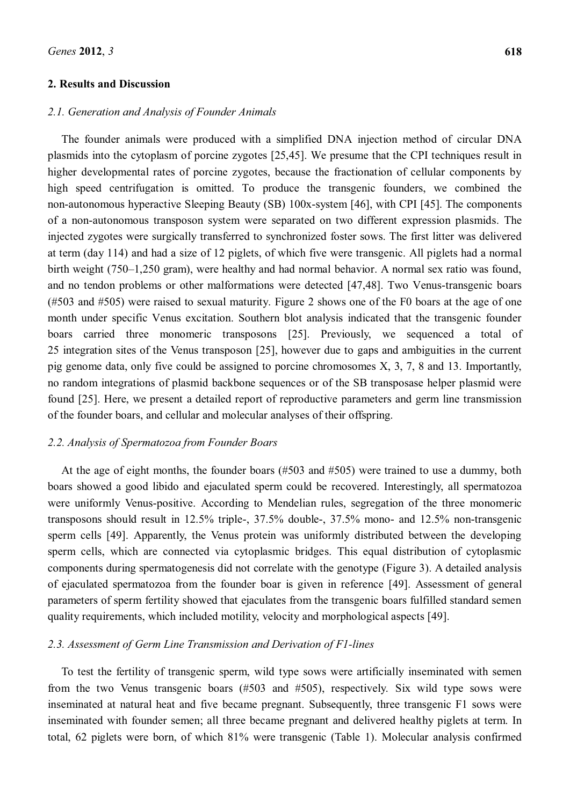#### **2. Results and Discussion**

#### *2.1. Generation and Analysis of Founder Animals*

The founder animals were produced with a simplified DNA injection method of circular DNA plasmids into the cytoplasm of porcine zygotes [25,45]. We presume that the CPI techniques result in higher developmental rates of porcine zygotes, because the fractionation of cellular components by high speed centrifugation is omitted. To produce the transgenic founders, we combined the non-autonomous hyperactive Sleeping Beauty (SB) 100x-system [46], with CPI [45]. The components of a non-autonomous transposon system were separated on two different expression plasmids. The injected zygotes were surgically transferred to synchronized foster sows. The first litter was delivered at term (day 114) and had a size of 12 piglets, of which five were transgenic. All piglets had a normal birth weight  $(750-1,250 \text{ gram})$ , were healthy and had normal behavior. A normal sex ratio was found, and no tendon problems or other malformations were detected [47,48]. Two Venus-transgenic boars (#503 and #505) were raised to sexual maturity. Figure 2 shows one of the F0 boars at the age of one month under specific Venus excitation. Southern blot analysis indicated that the transgenic founder boars carried three monomeric transposons [25]. Previously, we sequenced a total of 25 integration sites of the Venus transposon [25], however due to gaps and ambiguities in the current pig genome data, only five could be assigned to porcine chromosomes X, 3, 7, 8 and 13. Importantly, no random integrations of plasmid backbone sequences or of the SB transposase helper plasmid were found [25]. Here, we present a detailed report of reproductive parameters and germ line transmission of the founder boars, and cellular and molecular analyses of their offspring.

#### *2.2. Analysis of Spermatozoa from Founder Boars*

At the age of eight months, the founder boars (#503 and #505) were trained to use a dummy, both boars showed a good libido and ejaculated sperm could be recovered. Interestingly, all spermatozoa were uniformly Venus-positive. According to Mendelian rules, segregation of the three monomeric transposons should result in 12.5% triple-, 37.5% double-, 37.5% mono- and 12.5% non-transgenic sperm cells [49]. Apparently, the Venus protein was uniformly distributed between the developing sperm cells, which are connected via cytoplasmic bridges. This equal distribution of cytoplasmic components during spermatogenesis did not correlate with the genotype (Figure 3). A detailed analysis of ejaculated spermatozoa from the founder boar is given in reference [49]. Assessment of general parameters of sperm fertility showed that ejaculates from the transgenic boars fulfilled standard semen quality requirements, which included motility, velocity and morphological aspects [49].

# *2.3. Assessment of Germ Line Transmission and Derivation of F1-lines*

To test the fertility of transgenic sperm, wild type sows were artificially inseminated with semen from the two Venus transgenic boars (#503 and #505), respectively. Six wild type sows were inseminated at natural heat and five became pregnant. Subsequently, three transgenic F1 sows were inseminated with founder semen; all three became pregnant and delivered healthy piglets at term. In total, 62 piglets were born, of which 81% were transgenic (Table 1). Molecular analysis confirmed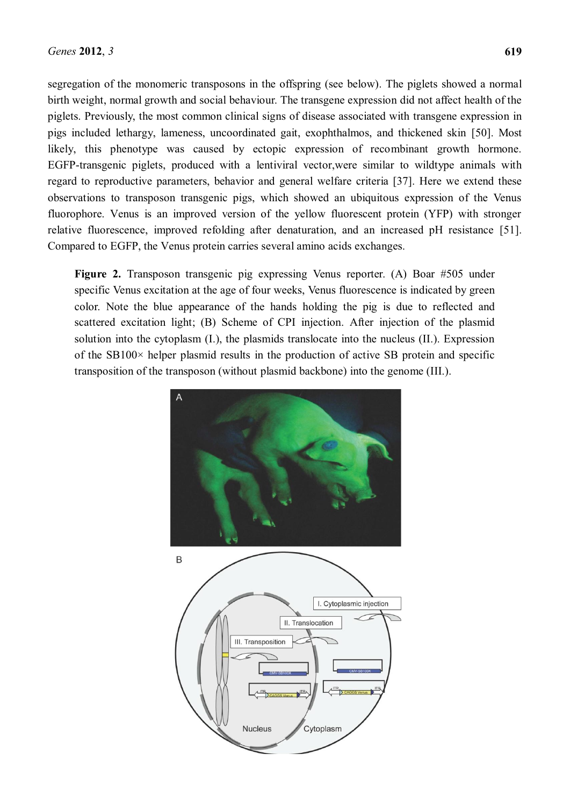segregation of the monomeric transposons in the offspring (see below). The piglets showed a normal birth weight, normal growth and social behaviour. The transgene expression did not affect health of the piglets. Previously, the most common clinical signs of disease associated with transgene expression in pigs included lethargy, lameness, uncoordinated gait, exophthalmos, and thickened skin [50]. Most likely, this phenotype was caused by ectopic expression of recombinant growth hormone. EGFP-transgenic piglets, produced with a lentiviral vector,were similar to wildtype animals with regard to reproductive parameters, behavior and general welfare criteria [37]. Here we extend these observations to transposon transgenic pigs, which showed an ubiquitous expression of the Venus fluorophore. Venus is an improved version of the yellow fluorescent protein (YFP) with stronger relative fluorescence, improved refolding after denaturation, and an increased pH resistance [51]. Compared to EGFP, the Venus protein carries several amino acids exchanges.

**Figure 2.** Transposon transgenic pig expressing Venus reporter. (A) Boar #505 under specific Venus excitation at the age of four weeks, Venus fluorescence is indicated by green color. Note the blue appearance of the hands holding the pig is due to reflected and scattered excitation light; (B) Scheme of CPI injection. After injection of the plasmid solution into the cytoplasm (I.), the plasmids translocate into the nucleus (II.). Expression of the SB100× helper plasmid results in the production of active SB protein and specific transposition of the transposon (without plasmid backbone) into the genome (III.).

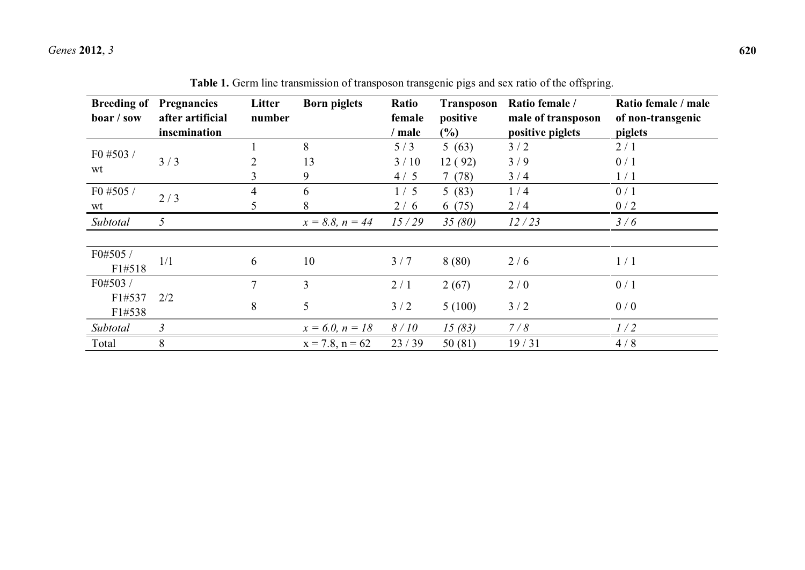| <b>Breeding of</b><br>boar / sow | <b>Pregnancies</b><br>after artificial | Litter<br>number | <b>Born piglets</b>  | Ratio<br>female | <b>Transposon</b><br>positive | Ratio female /<br>male of transposon | Ratio female / male<br>of non-transgenic |
|----------------------------------|----------------------------------------|------------------|----------------------|-----------------|-------------------------------|--------------------------------------|------------------------------------------|
|                                  | insemination                           |                  |                      | ' male          | $(\%)$                        | positive piglets                     | piglets                                  |
|                                  |                                        |                  | 8                    | 5/3             | 5(63)                         | 3/2                                  | 2/1                                      |
| F0 #503 /                        | 3/3                                    |                  | 13                   | 3/10            | 12(92)                        | 3/9                                  | 0/1                                      |
| wt                               |                                        | 3                | 9                    | 4/5             | 7(78)                         | 3/4                                  | 1/1                                      |
| F0 #505 /                        | 2/3                                    | 4                | 6                    | 1/5             | 5(83)                         | 1/4                                  | 0/1                                      |
| wt                               |                                        | 5.               | 8                    | 2/6             | 6(75)                         | 2/4                                  | 0/2                                      |
| Subtotal                         | 5                                      |                  | $x = 8.8, n = 44$    | 15/29           | 35(80)                        | 12/23                                | 3/6                                      |
|                                  |                                        |                  |                      |                 |                               |                                      |                                          |
| F0#505 /                         |                                        |                  |                      |                 |                               |                                      |                                          |
| F1#518                           | 1/1                                    | 6                | 10                   | 3/7             | 8(80)                         | 2/6                                  | 1/1                                      |
| F0#503 /                         |                                        | 7                | $\overline{3}$       | 2/1             | 2(67)                         | 2/0                                  | 0/1                                      |
| F1#537                           | 2/2                                    | 8                | 5                    | 3/2             | 5(100)                        | 3/2                                  | 0/0                                      |
| F1#538                           |                                        |                  |                      |                 |                               |                                      |                                          |
| Subtotal                         | $\mathfrak{Z}$                         |                  | $x = 6.0, n = 18$    | 8/10            | 15(83)                        | 7/8                                  | 1/2                                      |
| Total                            | 8                                      |                  | $x = 7.8$ , $n = 62$ | 23/39           | 50(81)                        | 19/31                                | 4/8                                      |

**Table 1.** Germ line transmission of transposon transgenic pigs and sex ratio of the offspring.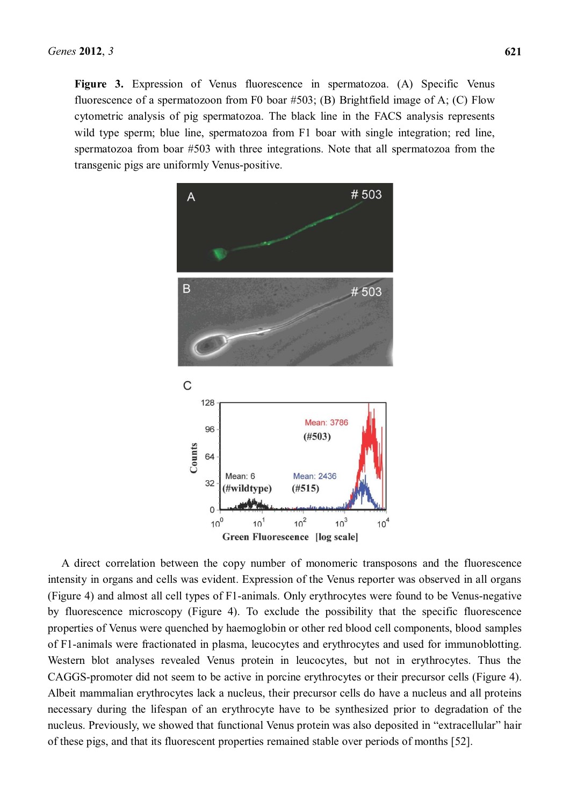Figure 3. Expression of Venus fluorescence in spermatozoa. (A) Specific Venus fluorescence of a spermatozoon from F0 boar #503; (B) Brightfield image of A; (C) Flow cytometric analysis of pig spermatozoa. The black line in the FACS analysis represents wild type sperm; blue line, spermatozoa from F1 boar with single integration; red line, spermatozoa from boar #503 with three integrations. Note that all spermatozoa from the transgenic pigs are uniformly Venus-positive.



A direct correlation between the copy number of monomeric transposons and the fluorescence intensity in organs and cells was evident. Expression of the Venus reporter was observed in all organs (Figure 4) and almost all cell types of F1-animals. Only erythrocytes were found to be Venus-negative by fluorescence microscopy (Figure 4). To exclude the possibility that the specific fluorescence properties of Venus were quenched by haemoglobin or other red blood cell components, blood samples of F1-animals were fractionated in plasma, leucocytes and erythrocytes and used for immunoblotting. Western blot analyses revealed Venus protein in leucocytes, but not in erythrocytes. Thus the CAGGS-promoter did not seem to be active in porcine erythrocytes or their precursor cells (Figure 4). Albeit mammalian erythrocytes lack a nucleus, their precursor cells do have a nucleus and all proteins necessary during the lifespan of an erythrocyte have to be synthesized prior to degradation of the nucleus. Previously, we showed that functional Venus protein was also deposited in "extracellular" hair of these pigs, and that its fluorescent properties remained stable over periods of months [52].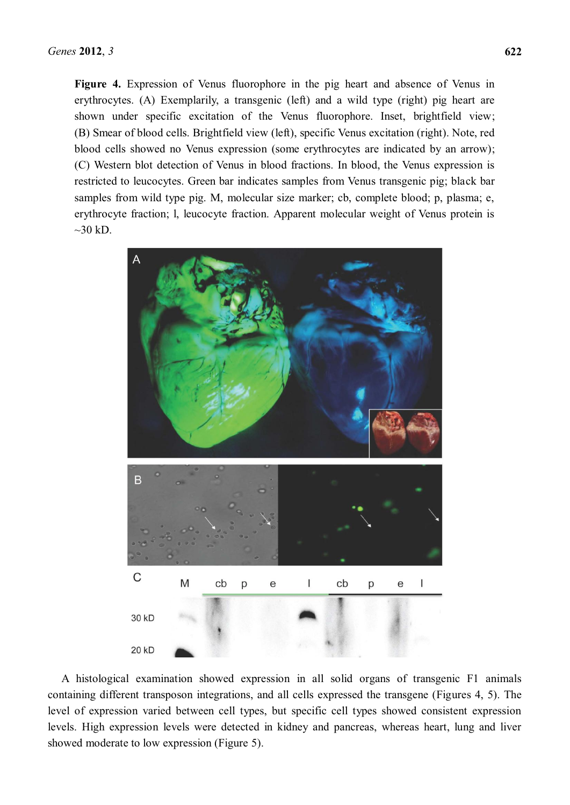**Figure 4.** Expression of Venus fluorophore in the pig heart and absence of Venus in erythrocytes. (A) Exemplarily, a transgenic (left) and a wild type (right) pig heart are shown under specific excitation of the Venus fluorophore. Inset, brightfield view; (B) Smear of blood cells. Brightfield view (left), specific Venus excitation (right). Note, red blood cells showed no Venus expression (some erythrocytes are indicated by an arrow); (C) Western blot detection of Venus in blood fractions. In blood, the Venus expression is restricted to leucocytes. Green bar indicates samples from Venus transgenic pig; black bar samples from wild type pig. M, molecular size marker; cb, complete blood; p, plasma; e, erythrocyte fraction; l, leucocyte fraction. Apparent molecular weight of Venus protein is  $\sim$ 30 kD.



A histological examination showed expression in all solid organs of transgenic F1 animals containing different transposon integrations, and all cells expressed the transgene (Figures 4, 5). The level of expression varied between cell types, but specific cell types showed consistent expression levels. High expression levels were detected in kidney and pancreas, whereas heart, lung and liver showed moderate to low expression (Figure 5).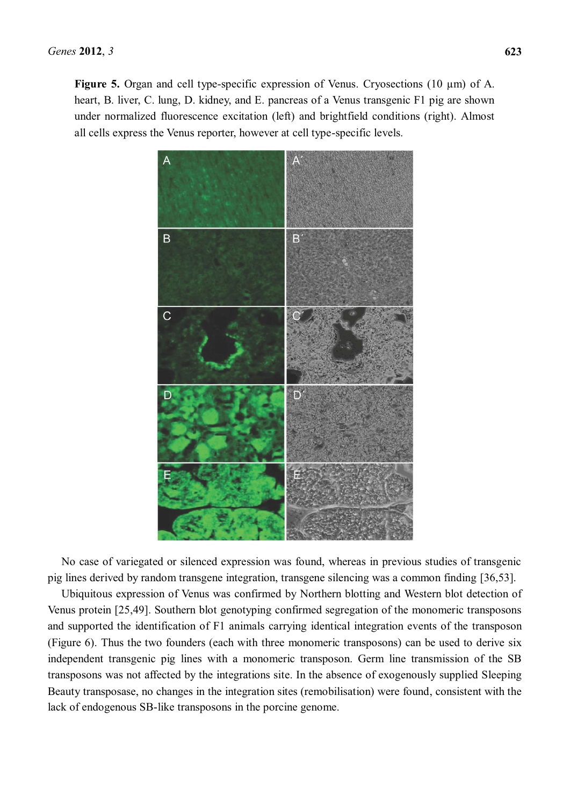**Figure 5.** Organ and cell type-specific expression of Venus. Cryosections (10 µm) of A. heart, B. liver, C. lung, D. kidney, and E. pancreas of a Venus transgenic F1 pig are shown under normalized fluorescence excitation (left) and brightfield conditions (right). Almost all cells express the Venus reporter, however at cell type-specific levels.



No case of variegated or silenced expression was found, whereas in previous studies of transgenic pig lines derived by random transgene integration, transgene silencing was a common finding [36,53].

Ubiquitous expression of Venus was confirmed by Northern blotting and Western blot detection of Venus protein [25,49]. Southern blot genotyping confirmed segregation of the monomeric transposons and supported the identification of F1 animals carrying identical integration events of the transposon (Figure 6). Thus the two founders (each with three monomeric transposons) can be used to derive six independent transgenic pig lines with a monomeric transposon. Germ line transmission of the SB transposons was not affected by the integrations site. In the absence of exogenously supplied Sleeping Beauty transposase, no changes in the integration sites (remobilisation) were found, consistent with the lack of endogenous SB-like transposons in the porcine genome.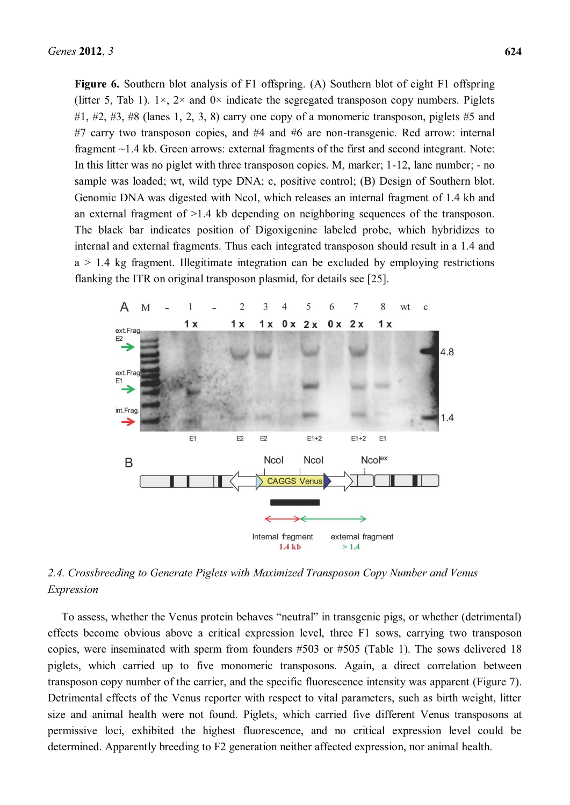Figure 6. Southern blot analysis of F1 offspring. (A) Southern blot of eight F1 offspring (litter 5, Tab 1).  $1 \times$ ,  $2 \times$  and  $0 \times$  indicate the segregated transposon copy numbers. Piglets  $\#1$ ,  $\#2$ ,  $\#3$ ,  $\#8$  (lanes 1, 2, 3, 8) carry one copy of a monomeric transposon, piglets  $\#5$  and #7 carry two transposon copies, and #4 and #6 are non-transgenic. Red arrow: internal fragment ~1.4 kb. Green arrows: external fragments of the first and second integrant. Note: In this litter was no piglet with three transposon copies. M, marker; 1-12, lane number; - no sample was loaded; wt, wild type DNA; c, positive control; (B) Design of Southern blot. Genomic DNA was digested with NcoI, which releases an internal fragment of 1.4 kb and an external fragment of >1.4 kb depending on neighboring sequences of the transposon. The black bar indicates position of Digoxigenine labeled probe, which hybridizes to internal and external fragments. Thus each integrated transposon should result in a 1.4 and  $a > 1.4$  kg fragment. Illegitimate integration can be excluded by employing restrictions flanking the ITR on original transposon plasmid, for details see [25].



2.4. Crossbreeding to Generate Piglets with Maximized Transposon Copy Number and Venus *Expression* 

To assess, whether the Venus protein behaves "neutral" in transgenic pigs, or whether (detrimental) effects become obvious above a critical expression level, three F1 sows, carrying two transposon copies, were inseminated with sperm from founders #503 or #505 (Table 1). The sows delivered 18 piglets, which carried up to five monomeric transposons. Again, a direct correlation between transposon copy number of the carrier, and the specific fluorescence intensity was apparent (Figure 7). Detrimental effects of the Venus reporter with respect to vital parameters, such as birth weight, litter size and animal health were not found. Piglets, which carried five different Venus transposons at permissive loci, exhibited the highest fluorescence, and no critical expression level could be determined. Apparently breeding to F2 generation neither affected expression, nor animal health.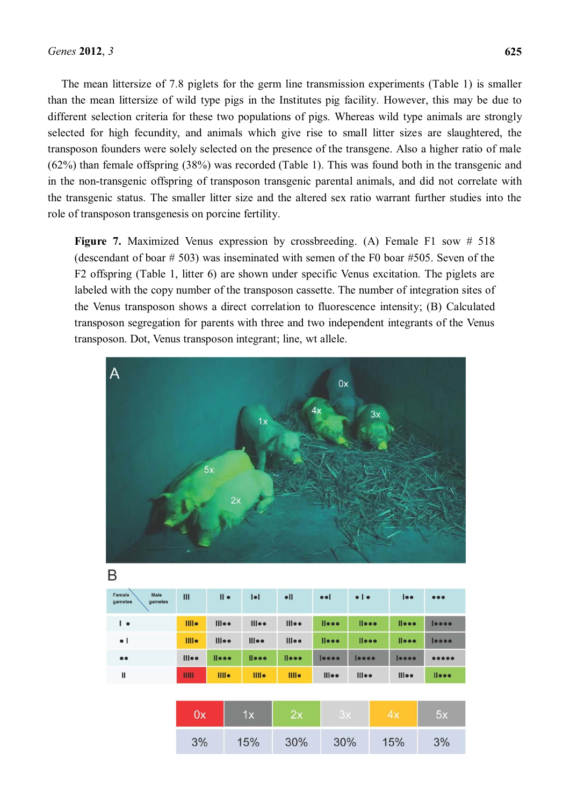The mean littersize of 7.8 piglets for the germ line transmission experiments (Table 1) is smaller than the mean littersize of wild type pigs in the Institutes pig facility. However, this may be due to different selection criteria for these two populations of pigs. Whereas wild type animals are strongly selected for high fecundity, and animals which give rise to small litter sizes are slaughtered, the transposon founders were solely selected on the presence of the transgene. Also a higher ratio of male (62%) than female offspring (38%) was recorded (Table 1). This was found both in the transgenic and in the non-transgenic offspring of transposon transgenic parental animals, and did not correlate with the transgenic status. The smaller litter size and the altered sex ratio warrant further studies into the role of transposon transgenesis on porcine fertility.

**Figure 7.** Maximized Venus expression by crossbreeding. (A) Female F1 sow # 518 (descendant of boar # 503) was inseminated with semen of the F0 boar #505. Seven of the F2 offspring (Table 1, litter 6) are shown under specific Venus excitation. The piglets are labeled with the copy number of the transposon cassette. The number of integration sites of the Venus transposon shows a direct correlation to fluorescence intensity; (B) Calculated transposon segregation for parents with three and two independent integrants of the Venus transposon. Dot, Venus transposon integrant; line, wt allele.



| Male<br>Female<br>gametes<br>gametes | $\mathbf{m}$     | $\mathsf{II}$ $\bullet$ | $  \bullet  $     | $\bullet$ II     | e e                         | $\bullet$   $\bullet$       | $  \bullet \bullet$     | $\bullet\bullet\bullet$ |
|--------------------------------------|------------------|-------------------------|-------------------|------------------|-----------------------------|-----------------------------|-------------------------|-------------------------|
| $\overline{\phantom{a}}$             | III <sub>•</sub> | $III$ ee                | $III$ o $\bullet$ | $III$ ee         | $l$ $l$ $\bullet$ $\bullet$ | $l$ $\bullet$ $\bullet$     | $l$ leee                | 0000                    |
| $\bullet$                            | <b>Illie</b>     | $III$ ee                | $III$ ee          | $III$ ee         | $l$ $l$ $\bullet$ $\bullet$ | $l$ $l$ $\bullet$ $\bullet$ | $l$ $\bullet$ $\bullet$ | 0000                    |
| $\bullet\bullet$                     | $III$ ee         | l                       | l                 | l                | 0000                        | 0000                        | 0000                    | 00000                   |
| Ш                                    | Ш                | <b>IIII</b>             | <b>IIII</b>       | III <sub>o</sub> | $III$ ee                    | $III$ ee                    | $III$ ee                | $l$ $\bullet$ $\bullet$ |

| <b>J.V.</b> | w<br>м | ×А. | ΟХ  |     | 5х |  |
|-------------|--------|-----|-----|-----|----|--|
| 3%          | 15%    | 30% | 30% | 15% | 3% |  |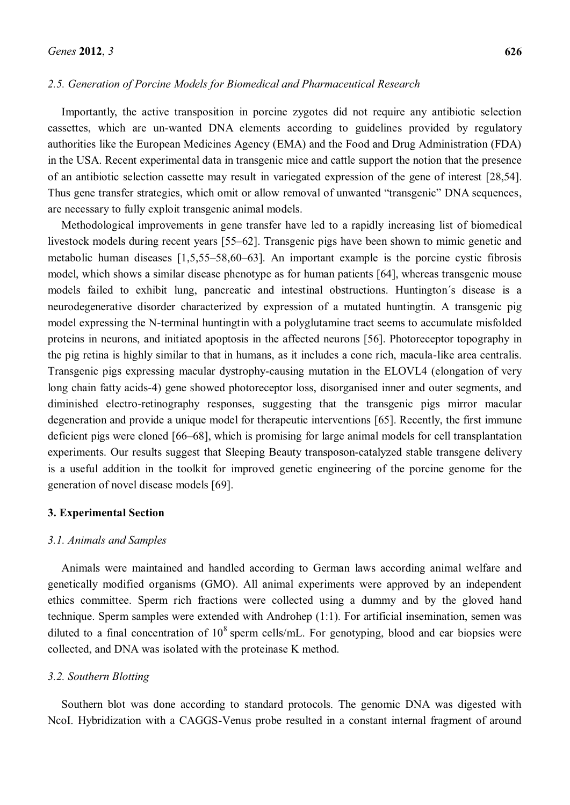#### *2.5. Generation of Porcine Models for Biomedical and Pharmaceutical Research*

Importantly, the active transposition in porcine zygotes did not require any antibiotic selection cassettes, which are un-wanted DNA elements according to guidelines provided by regulatory authorities like the European Medicines Agency (EMA) and the Food and Drug Administration (FDA) in the USA. Recent experimental data in transgenic mice and cattle support the notion that the presence of an antibiotic selection cassette may result in variegated expression of the gene of interest [28,54]. Thus gene transfer strategies, which omit or allow removal of unwanted "transgenic" DNA sequences, are necessary to fully exploit transgenic animal models.

Methodological improvements in gene transfer have led to a rapidly increasing list of biomedical livestock models during recent years [55–62]. Transgenic pigs have been shown to mimic genetic and metabolic human diseases  $[1,5,55-58,60-63]$ . An important example is the porcine cystic fibrosis model, which shows a similar disease phenotype as for human patients [64], whereas transgenic mouse models failed to exhibit lung, pancreatic and intestinal obstructions. Huntington´s disease is a neurodegenerative disorder characterized by expression of a mutated huntingtin. A transgenic pig model expressing the N-terminal huntingtin with a polyglutamine tract seems to accumulate misfolded proteins in neurons, and initiated apoptosis in the affected neurons [56]. Photoreceptor topography in the pig retina is highly similar to that in humans, as it includes a cone rich, macula-like area centralis. Transgenic pigs expressing macular dystrophy-causing mutation in the ELOVL4 (elongation of very long chain fatty acids-4) gene showed photoreceptor loss, disorganised inner and outer segments, and diminished electro-retinography responses, suggesting that the transgenic pigs mirror macular degeneration and provide a unique model for therapeutic interventions [65]. Recently, the first immune deficient pigs were cloned [66–68], which is promising for large animal models for cell transplantation experiments. Our results suggest that Sleeping Beauty transposon-catalyzed stable transgene delivery is a useful addition in the toolkit for improved genetic engineering of the porcine genome for the generation of novel disease models [69].

#### **3. Experimental Section**

#### *3.1. Animals and Samples*

Animals were maintained and handled according to German laws according animal welfare and genetically modified organisms (GMO). All animal experiments were approved by an independent ethics committee. Sperm rich fractions were collected using a dummy and by the gloved hand technique. Sperm samples were extended with Androhep (1:1). For artificial insemination, semen was diluted to a final concentration of  $10^8$  sperm cells/mL. For genotyping, blood and ear biopsies were collected, and DNA was isolated with the proteinase K method.

# *3.2. Southern Blotting*

Southern blot was done according to standard protocols. The genomic DNA was digested with NcoI. Hybridization with a CAGGS-Venus probe resulted in a constant internal fragment of around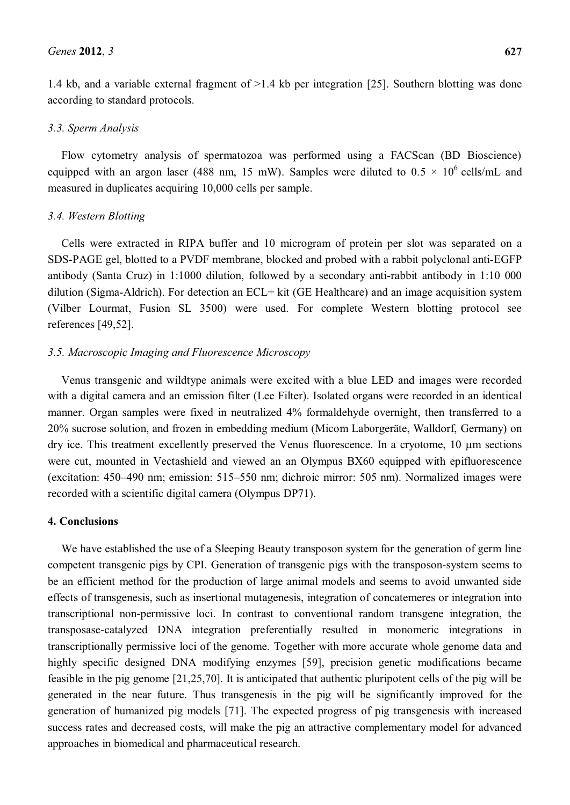1.4 kb, and a variable external fragment of >1.4 kb per integration [25]. Southern blotting was done according to standard protocols.

# *3.3. Sperm Analysis*

Flow cytometry analysis of spermatozoa was performed using a FACScan (BD Bioscience) equipped with an argon laser (488 nm, 15 mW). Samples were diluted to  $0.5 \times 10^6$  cells/mL and measured in duplicates acquiring 10,000 cells per sample.

# *3.4. Western Blotting*

Cells were extracted in RIPA buffer and 10 microgram of protein per slot was separated on a SDS-PAGE gel, blotted to a PVDF membrane, blocked and probed with a rabbit polyclonal anti-EGFP antibody (Santa Cruz) in 1:1000 dilution, followed by a secondary anti-rabbit antibody in 1:10 000 dilution (Sigma-Aldrich). For detection an ECL+ kit (GE Healthcare) and an image acquisition system (Vilber Lourmat, Fusion SL 3500) were used. For complete Western blotting protocol see references [49,52].

# *3.5. Macroscopic Imaging and Fluorescence Microscopy*

Venus transgenic and wildtype animals were excited with a blue LED and images were recorded with a digital camera and an emission filter (Lee Filter). Isolated organs were recorded in an identical manner. Organ samples were fixed in neutralized 4% formaldehyde overnight, then transferred to a 20% sucrose solution, and frozen in embedding medium (Micom Laborgeräte, Walldorf, Germany) on  $\frac{dy}{dx}$  dry ice. This treatment excellently preserved the Venus fluorescence. In a cryotome, 10  $\mu$ m sections were cut, mounted in Vectashield and viewed an an Olympus BX60 equipped with epifluorescence (excitation:  $450-490$  nm; emission:  $515-550$  nm; dichroic mirror:  $505$  nm). Normalized images were recorded with a scientific digital camera (Olympus DP71).

# **4. Conclusions**

We have established the use of a Sleeping Beauty transposon system for the generation of germ line competent transgenic pigs by CPI. Generation of transgenic pigs with the transposon-system seems to be an efficient method for the production of large animal models and seems to avoid unwanted side effects of transgenesis, such as insertional mutagenesis, integration of concatemeres or integration into transcriptional non-permissive loci. In contrast to conventional random transgene integration, the transposase-catalyzed DNA integration preferentially resulted in monomeric integrations in transcriptionally permissive loci of the genome. Together with more accurate whole genome data and highly specific designed DNA modifying enzymes [59], precision genetic modifications became feasible in the pig genome [21,25,70]. It is anticipated that authentic pluripotent cells of the pig will be generated in the near future. Thus transgenesis in the pig will be significantly improved for the generation of humanized pig models [71]. The expected progress of pig transgenesis with increased success rates and decreased costs, will make the pig an attractive complementary model for advanced approaches in biomedical and pharmaceutical research.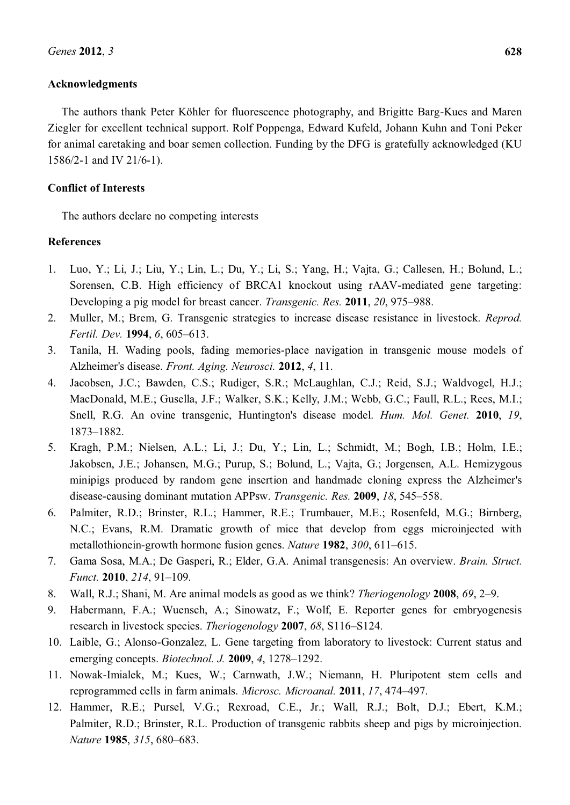## **Acknowledgments**

The authors thank Peter Köhler for fluorescence photography, and Brigitte Barg-Kues and Maren Ziegler for excellent technical support. Rolf Poppenga, Edward Kufeld, Johann Kuhn and Toni Peker for animal caretaking and boar semen collection. Funding by the DFG is gratefully acknowledged (KU 1586/2-1 and IV 21/6-1).

## **Conflict of Interests**

The authors declare no competing interests

## **References**

- 1. Luo, Y.; Li, J.; Liu, Y.; Lin, L.; Du, Y.; Li, S.; Yang, H.; Vajta, G.; Callesen, H.; Bolund, L.; Sorensen, C.B. High efficiency of BRCA1 knockout using rAAV-mediated gene targeting: Developing a pig model for breast cancer. *Transgenic. Res.* **2011**, *20*, 975–988.
- 2. Muller, M.; Brem, G. Transgenic strategies to increase disease resistance in livestock. *Reprod. Fertil. Dev.* **1994**, *6*, 605–613.
- 3. Tanila, H. Wading pools, fading memories-place navigation in transgenic mouse models of Alzheimer's disease. *Front. Aging. Neurosci.* **2012**, *4*, 11.
- 4. Jacobsen, J.C.; Bawden, C.S.; Rudiger, S.R.; McLaughlan, C.J.; Reid, S.J.; Waldvogel, H.J.; MacDonald, M.E.; Gusella, J.F.; Walker, S.K.; Kelly, J.M.; Webb, G.C.; Faull, R.L.; Rees, M.I.; Snell, R.G. An ovine transgenic, Huntington's disease model. *Hum. Mol. Genet.* **2010**, *19*, 1873±1882.
- 5. Kragh, P.M.; Nielsen, A.L.; Li, J.; Du, Y.; Lin, L.; Schmidt, M.; Bogh, I.B.; Holm, I.E.; Jakobsen, J.E.; Johansen, M.G.; Purup, S.; Bolund, L.; Vajta, G.; Jorgensen, A.L. Hemizygous minipigs produced by random gene insertion and handmade cloning express the Alzheimer's disease-causing dominant mutation APPsw. *Transgenic. Res.* 2009, 18, 545–558.
- 6. Palmiter, R.D.; Brinster, R.L.; Hammer, R.E.; Trumbauer, M.E.; Rosenfeld, M.G.; Birnberg, N.C.; Evans, R.M. Dramatic growth of mice that develop from eggs microinjected with metallothionein-growth hormone fusion genes. *Nature* 1982, 300, 611-615.
- 7. Gama Sosa, M.A.; De Gasperi, R.; Elder, G.A. Animal transgenesis: An overview. *Brain. Struct. Funct.* **2010**, 214, 91-109.
- 8. Wall, R.J.; Shani, M. Are animal models as good as we think? *Theriogenology* **2008**, 69, 2–9.
- 9. Habermann, F.A.; Wuensch, A.; Sinowatz, F.; Wolf, E. Reporter genes for embryogenesis research in livestock species. *Theriogenology* **2007**, *68*, S116–S124.
- 10. Laible, G.; Alonso-Gonzalez, L. Gene targeting from laboratory to livestock: Current status and emerging concepts. *Biotechnol. J.* **2009**, *4*, 1278-1292.
- 11. Nowak-Imialek, M.; Kues, W.; Carnwath, J.W.; Niemann, H. Pluripotent stem cells and reprogrammed cells in farm animals. *Microsc. Microanal.* **2011**, *17*, 474–497.
- 12. Hammer, R.E.; Pursel, V.G.; Rexroad, C.E., Jr.; Wall, R.J.; Bolt, D.J.; Ebert, K.M.; Palmiter, R.D.; Brinster, R.L. Production of transgenic rabbits sheep and pigs by microinjection. *Nature* **1985**, 315, 680–683.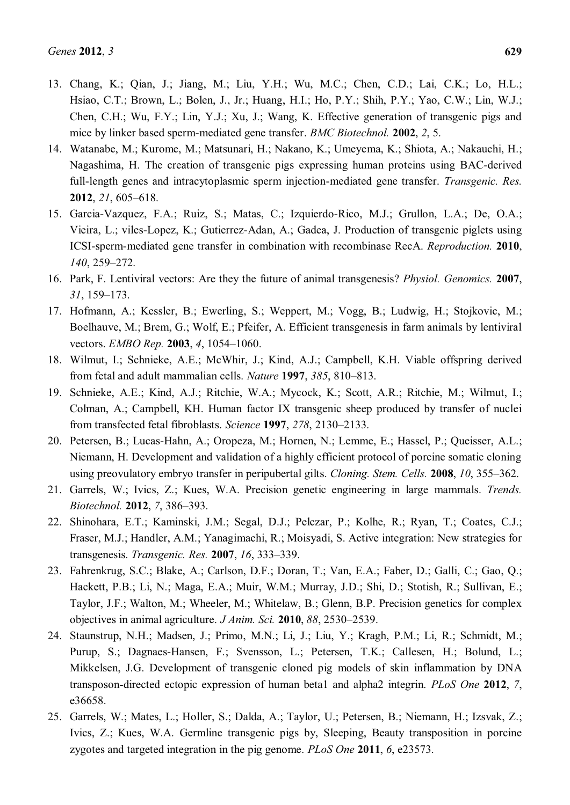- 13. Chang, K.; Qian, J.; Jiang, M.; Liu, Y.H.; Wu, M.C.; Chen, C.D.; Lai, C.K.; Lo, H.L.; Hsiao, C.T.; Brown, L.; Bolen, J., Jr.; Huang, H.I.; Ho, P.Y.; Shih, P.Y.; Yao, C.W.; Lin, W.J.; Chen, C.H.; Wu, F.Y.; Lin, Y.J.; Xu, J.; Wang, K. Effective generation of transgenic pigs and mice by linker based sperm-mediated gene transfer. *BMC Biotechnol.* **2002**, *2*, 5.
- 14. Watanabe, M.; Kurome, M.; Matsunari, H.; Nakano, K.; Umeyema, K.; Shiota, A.; Nakauchi, H.; Nagashima, H. The creation of transgenic pigs expressing human proteins using BAC-derived full-length genes and intracytoplasmic sperm injection-mediated gene transfer. *Transgenic. Res.* **2012**, 21, 605-618.
- 15. Garcia-Vazquez, F.A.; Ruiz, S.; Matas, C.; Izquierdo-Rico, M.J.; Grullon, L.A.; De, O.A.; Vieira, L.; viles-Lopez, K.; Gutierrez-Adan, A.; Gadea, J. Production of transgenic piglets using ICSI-sperm-mediated gene transfer in combination with recombinase RecA. *Reproduction.* **2010**, *140*, 259-272.
- 16. Park, F. Lentiviral vectors: Are they the future of animal transgenesis? *Physiol. Genomics.* **2007**, *31*, 159±173.
- 17. Hofmann, A.; Kessler, B.; Ewerling, S.; Weppert, M.; Vogg, B.; Ludwig, H.; Stojkovic, M.; Boelhauve, M.; Brem, G.; Wolf, E.; Pfeifer, A. Efficient transgenesis in farm animals by lentiviral vectors. *EMBO Rep.* **2003**, *4*, 1054-1060.
- 18. Wilmut, I.; Schnieke, A.E.; McWhir, J.; Kind, A.J.; Campbell, K.H. Viable offspring derived from fetal and adult mammalian cells. *Nature* **1997**, 385, 810–813.
- 19. Schnieke, A.E.; Kind, A.J.; Ritchie, W.A.; Mycock, K.; Scott, A.R.; Ritchie, M.; Wilmut, I.; Colman, A.; Campbell, KH. Human factor IX transgenic sheep produced by transfer of nuclei from transfected fetal fibroblasts. *Science* 1997, 278, 2130-2133.
- 20. Petersen, B.; Lucas-Hahn, A.; Oropeza, M.; Hornen, N.; Lemme, E.; Hassel, P.; Queisser, A.L.; Niemann, H. Development and validation of a highly efficient protocol of porcine somatic cloning using preovulatory embryo transfer in peripubertal gilts. *Cloning. Stem. Cells.* **2008**, *10*, 355–362.
- 21. Garrels, W.; Ivics, Z.; Kues, W.A. Precision genetic engineering in large mammals. *Trends. Biotechnol.* **2012**, 7, 386-393.
- 22. Shinohara, E.T.; Kaminski, J.M.; Segal, D.J.; Pelczar, P.; Kolhe, R.; Ryan, T.; Coates, C.J.; Fraser, M.J.; Handler, A.M.; Yanagimachi, R.; Moisyadi, S. Active integration: New strategies for transgenesis. *Transgenic. Res.* **2007**, *16*, 333±339.
- 23. Fahrenkrug, S.C.; Blake, A.; Carlson, D.F.; Doran, T.; Van, E.A.; Faber, D.; Galli, C.; Gao, Q.; Hackett, P.B.; Li, N.; Maga, E.A.; Muir, W.M.; Murray, J.D.; Shi, D.; Stotish, R.; Sullivan, E.; Taylor, J.F.; Walton, M.; Wheeler, M.; Whitelaw, B.; Glenn, B.P. Precision genetics for complex objectives in animal agriculture. *J Anim. Sci.* **2010**, 88, 2530–2539.
- 24. Staunstrup, N.H.; Madsen, J.; Primo, M.N.; Li, J.; Liu, Y.; Kragh, P.M.; Li, R.; Schmidt, M.; Purup, S.; Dagnaes-Hansen, F.; Svensson, L.; Petersen, T.K.; Callesen, H.; Bolund, L.; Mikkelsen, J.G. Development of transgenic cloned pig models of skin inflammation by DNA transposon-directed ectopic expression of human beta1 and alpha2 integrin. *PLoS One* **2012**, *7*, e36658.
- 25. Garrels, W.; Mates, L.; Holler, S.; Dalda, A.; Taylor, U.; Petersen, B.; Niemann, H.; Izsvak, Z.; Ivics, Z.; Kues, W.A. Germline transgenic pigs by, Sleeping, Beauty transposition in porcine zygotes and targeted integration in the pig genome. *PLoS One* **2011**, *6*, e23573.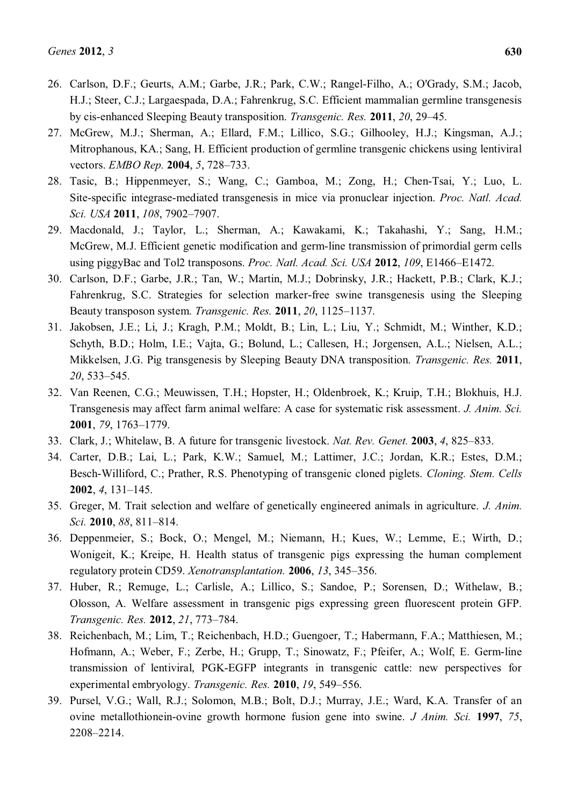- 26. Carlson, D.F.; Geurts, A.M.; Garbe, J.R.; Park, C.W.; Rangel-Filho, A.; O'Grady, S.M.; Jacob, H.J.; Steer, C.J.; Largaespada, D.A.; Fahrenkrug, S.C. Efficient mammalian germline transgenesis by cis-enhanced Sleeping Beauty transposition. *Transgenic. Res.* 2011, 20, 29–45.
- 27. McGrew, M.J.; Sherman, A.; Ellard, F.M.; Lillico, S.G.; Gilhooley, H.J.; Kingsman, A.J.; Mitrophanous, KA.; Sang, H. Efficient production of germline transgenic chickens using lentiviral vectors. *EMBO Rep.* **2004**, 5, 728-733.
- 28. Tasic, B.; Hippenmeyer, S.; Wang, C.; Gamboa, M.; Zong, H.; Chen-Tsai, Y.; Luo, L. Site-specific integrase-mediated transgenesis in mice via pronuclear injection. *Proc. Natl. Acad. Sci. USA* **2011**, *108*, 7902-7907.
- 29. Macdonald, J.; Taylor, L.; Sherman, A.; Kawakami, K.; Takahashi, Y.; Sang, H.M.; McGrew, M.J. Efficient genetic modification and germ-line transmission of primordial germ cells using piggyBac and Tol2 transposons. *Proc. Natl. Acad. Sci. USA* 2012, 109, E1466–E1472.
- 30. Carlson, D.F.; Garbe, J.R.; Tan, W.; Martin, M.J.; Dobrinsky, J.R.; Hackett, P.B.; Clark, K.J.; Fahrenkrug, S.C. Strategies for selection marker-free swine transgenesis using the Sleeping Beauty transposon system. *Transgenic. Res.* **2011**, *20*, 1125-1137.
- 31. Jakobsen, J.E.; Li, J.; Kragh, P.M.; Moldt, B.; Lin, L.; Liu, Y.; Schmidt, M.; Winther, K.D.; Schyth, B.D.; Holm, I.E.; Vajta, G.; Bolund, L.; Callesen, H.; Jorgensen, A.L.; Nielsen, A.L.; Mikkelsen, J.G. Pig transgenesis by Sleeping Beauty DNA transposition. *Transgenic. Res.* **2011**, 20, 533–545.
- 32. Van Reenen, C.G.; Meuwissen, T.H.; Hopster, H.; Oldenbroek, K.; Kruip, T.H.; Blokhuis, H.J. Transgenesis may affect farm animal welfare: A case for systematic risk assessment. *J. Anim. Sci.* **2001**, 79, 1763-1779.
- 33. Clark, J.; Whitelaw, B. A future for transgenic livestock. *Nat. Rev. Genet.* **2003**, 4, 825–833.
- 34. Carter, D.B.; Lai, L.; Park, K.W.; Samuel, M.; Lattimer, J.C.; Jordan, K.R.; Estes, D.M.; Besch-Williford, C.; Prather, R.S. Phenotyping of transgenic cloned piglets. *Cloning. Stem. Cells* **2002.** *4*, 131–145.
- 35. Greger, M. Trait selection and welfare of genetically engineered animals in agriculture. *J. Anim. Sci.* **2010**, 88, 811-814.
- 36. Deppenmeier, S.; Bock, O.; Mengel, M.; Niemann, H.; Kues, W.; Lemme, E.; Wirth, D.; Wonigeit, K.; Kreipe, H. Health status of transgenic pigs expressing the human complement regulatory protein CD59. *Xenotransplantation*. **2006**, 13, 345–356.
- 37. Huber, R.; Remuge, L.; Carlisle, A.; Lillico, S.; Sandoe, P.; Sorensen, D.; Withelaw, B.; Olosson, A. Welfare assessment in transgenic pigs expressing green fluorescent protein GFP. *Transgenic. Res.* **2012**, 21, 773-784.
- 38. Reichenbach, M.; Lim, T.; Reichenbach, H.D.; Guengoer, T.; Habermann, F.A.; Matthiesen, M.; Hofmann, A.; Weber, F.; Zerbe, H.; Grupp, T.; Sinowatz, F.; Pfeifer, A.; Wolf, E. Germ-line transmission of lentiviral, PGK-EGFP integrants in transgenic cattle: new perspectives for experimental embryology. *Transgenic. Res.* 2010, 19, 549-556.
- 39. Pursel, V.G.; Wall, R.J.; Solomon, M.B.; Bolt, D.J.; Murray, J.E.; Ward, K.A. Transfer of an ovine metallothionein-ovine growth hormone fusion gene into swine. *J Anim. Sci.* **1997**, *75*, 2208±2214.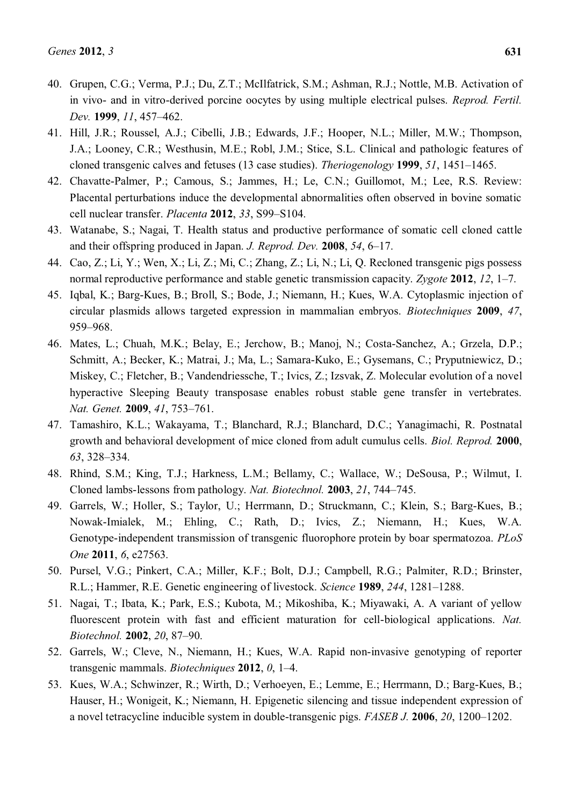- 40. Grupen, C.G.; Verma, P.J.; Du, Z.T.; McIlfatrick, S.M.; Ashman, R.J.; Nottle, M.B. Activation of in vivo- and in vitro-derived porcine oocytes by using multiple electrical pulses. *Reprod. Fertil. Dev.* **1999**, *11*, 457-462.
- 41. Hill, J.R.; Roussel, A.J.; Cibelli, J.B.; Edwards, J.F.; Hooper, N.L.; Miller, M.W.; Thompson, J.A.; Looney, C.R.; Westhusin, M.E.; Robl, J.M.; Stice, S.L. Clinical and pathologic features of cloned transgenic calves and fetuses (13 case studies). *Theriogenology* 1999, 51, 1451–1465.
- 42. Chavatte-Palmer, P.; Camous, S.; Jammes, H.; Le, C.N.; Guillomot, M.; Lee, R.S. Review: Placental perturbations induce the developmental abnormalities often observed in bovine somatic cell nuclear transfer. *Placenta* **2012**, *33*, S99±S104.
- 43. Watanabe, S.; Nagai, T. Health status and productive performance of somatic cell cloned cattle and their offspring produced in Japan. *J. Reprod. Dev.* 2008, 54, 6–17.
- 44. Cao, Z.; Li, Y.; Wen, X.; Li, Z.; Mi, C.; Zhang, Z.; Li, N.; Li, Q. Recloned transgenic pigs possess normal reproductive performance and stable genetic transmission capacity. *Zygote* 2012, 12, 1–7.
- 45. Iqbal, K.; Barg-Kues, B.; Broll, S.; Bode, J.; Niemann, H.; Kues, W.A. Cytoplasmic injection of circular plasmids allows targeted expression in mammalian embryos. *Biotechniques* **2009**, *47*, 959±968.
- 46. Mates, L.; Chuah, M.K.; Belay, E.; Jerchow, B.; Manoj, N.; Costa-Sanchez, A.; Grzela, D.P.; Schmitt, A.; Becker, K.; Matrai, J.; Ma, L.; Samara-Kuko, E.; Gysemans, C.; Pryputniewicz, D.; Miskey, C.; Fletcher, B.; Vandendriessche, T.; Ivics, Z.; Izsvak, Z. Molecular evolution of a novel hyperactive Sleeping Beauty transposase enables robust stable gene transfer in vertebrates. *Nat. Genet.* **2009**, 41, 753-761.
- 47. Tamashiro, K.L.; Wakayama, T.; Blanchard, R.J.; Blanchard, D.C.; Yanagimachi, R. Postnatal growth and behavioral development of mice cloned from adult cumulus cells. *Biol. Reprod.* **2000**, *63*, 328±334.
- 48. Rhind, S.M.; King, T.J.; Harkness, L.M.; Bellamy, C.; Wallace, W.; DeSousa, P.; Wilmut, I. Cloned lambs-lessons from pathology. *Nat. Biotechnol.* **2003**, 21, 744–745.
- 49. Garrels, W.; Holler, S.; Taylor, U.; Herrmann, D.; Struckmann, C.; Klein, S.; Barg-Kues, B.; Nowak-Imialek, M.; Ehling, C.; Rath, D.; Ivics, Z.; Niemann, H.; Kues, W.A. Genotype-independent transmission of transgenic fluorophore protein by boar spermatozoa. *PLoS One* **2011**, *6*, e27563.
- 50. Pursel, V.G.; Pinkert, C.A.; Miller, K.F.; Bolt, D.J.; Campbell, R.G.; Palmiter, R.D.; Brinster, R.L.; Hammer, R.E. Genetic engineering of livestock. *Science* **1989**, 244, 1281–1288.
- 51. Nagai, T.; Ibata, K.; Park, E.S.; Kubota, M.; Mikoshiba, K.; Miyawaki, A. A variant of yellow fluorescent protein with fast and efficient maturation for cell-biological applications. *Nat. Biotechnol.* **2002**, *20*, 87-90.
- 52. Garrels, W.; Cleve, N., Niemann, H.; Kues, W.A. Rapid non-invasive genotyping of reporter transgenic mammals. *Biotechniques* 2012, 0, 1–4.
- 53. Kues, W.A.; Schwinzer, R.; Wirth, D.; Verhoeyen, E.; Lemme, E.; Herrmann, D.; Barg-Kues, B.; Hauser, H.; Wonigeit, K.; Niemann, H. Epigenetic silencing and tissue independent expression of a novel tetracycline inducible system in double-transgenic pigs. *FASEB J.* **2006**, *20*, 1200–1202.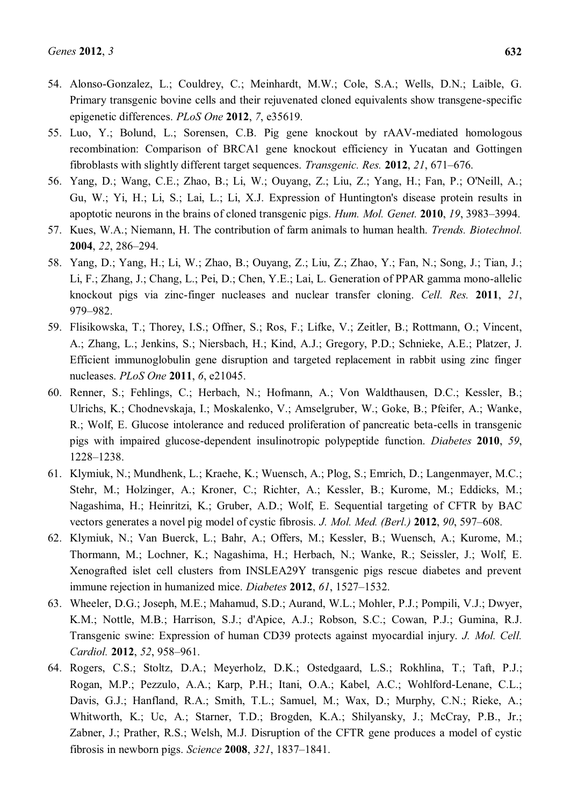- 54. Alonso-Gonzalez, L.; Couldrey, C.; Meinhardt, M.W.; Cole, S.A.; Wells, D.N.; Laible, G. Primary transgenic bovine cells and their rejuvenated cloned equivalents show transgene-specific epigenetic differences. *PLoS One* **2012**, *7*, e35619.
- 55. Luo, Y.; Bolund, L.; Sorensen, C.B. Pig gene knockout by rAAV-mediated homologous recombination: Comparison of BRCA1 gene knockout efficiency in Yucatan and Gottingen fibroblasts with slightly different target sequences. *Transgenic. Res.* 2012, 21, 671–676.
- 56. Yang, D.; Wang, C.E.; Zhao, B.; Li, W.; Ouyang, Z.; Liu, Z.; Yang, H.; Fan, P.; O'Neill, A.; Gu, W.; Yi, H.; Li, S.; Lai, L.; Li, X.J. Expression of Huntington's disease protein results in apoptotic neurons in the brains of cloned transgenic pigs. *Hum. Mol. Genet.* **2010**, *19*, 3983–3994.
- 57. Kues, W.A.; Niemann, H. The contribution of farm animals to human health. *Trends. Biotechnol.* **2004**, 22, 286-294.
- 58. Yang, D.; Yang, H.; Li, W.; Zhao, B.; Ouyang, Z.; Liu, Z.; Zhao, Y.; Fan, N.; Song, J.; Tian, J.; Li, F.; Zhang, J.; Chang, L.; Pei, D.; Chen, Y.E.; Lai, L. Generation of PPAR gamma mono-allelic knockout pigs via zinc-finger nucleases and nuclear transfer cloning. *Cell. Res.* **2011**, *21*, 979±982.
- 59. Flisikowska, T.; Thorey, I.S.; Offner, S.; Ros, F.; Lifke, V.; Zeitler, B.; Rottmann, O.; Vincent, A.; Zhang, L.; Jenkins, S.; Niersbach, H.; Kind, A.J.; Gregory, P.D.; Schnieke, A.E.; Platzer, J. Efficient immunoglobulin gene disruption and targeted replacement in rabbit using zinc finger nucleases. *PLoS One* **2011**, *6*, e21045.
- 60. Renner, S.; Fehlings, C.; Herbach, N.; Hofmann, A.; Von Waldthausen, D.C.; Kessler, B.; Ulrichs, K.; Chodnevskaja, I.; Moskalenko, V.; Amselgruber, W.; Goke, B.; Pfeifer, A.; Wanke, R.; Wolf, E. Glucose intolerance and reduced proliferation of pancreatic beta-cells in transgenic pigs with impaired glucose-dependent insulinotropic polypeptide function. *Diabetes* **2010**, *59*, 1228±1238.
- 61. Klymiuk, N.; Mundhenk, L.; Kraehe, K.; Wuensch, A.; Plog, S.; Emrich, D.; Langenmayer, M.C.; Stehr, M.; Holzinger, A.; Kroner, C.; Richter, A.; Kessler, B.; Kurome, M.; Eddicks, M.; Nagashima, H.; Heinritzi, K.; Gruber, A.D.; Wolf, E. Sequential targeting of CFTR by BAC vectors generates a novel pig model of cystic fibrosis. *J. Mol. Med. (Berl.)* **2012**, *90*, 597–608.
- 62. Klymiuk, N.; Van Buerck, L.; Bahr, A.; Offers, M.; Kessler, B.; Wuensch, A.; Kurome, M.; Thormann, M.; Lochner, K.; Nagashima, H.; Herbach, N.; Wanke, R.; Seissler, J.; Wolf, E. Xenografted islet cell clusters from INSLEA29Y transgenic pigs rescue diabetes and prevent immune rejection in humanized mice. *Diabetes* 2012, 61, 1527-1532.
- 63. Wheeler, D.G.; Joseph, M.E.; Mahamud, S.D.; Aurand, W.L.; Mohler, P.J.; Pompili, V.J.; Dwyer, K.M.; Nottle, M.B.; Harrison, S.J.; d'Apice, A.J.; Robson, S.C.; Cowan, P.J.; Gumina, R.J. Transgenic swine: Expression of human CD39 protects against myocardial injury. *J. Mol. Cell. Cardiol.* **2012**, *52*, 958-961.
- 64. Rogers, C.S.; Stoltz, D.A.; Meyerholz, D.K.; Ostedgaard, L.S.; Rokhlina, T.; Taft, P.J.; Rogan, M.P.; Pezzulo, A.A.; Karp, P.H.; Itani, O.A.; Kabel, A.C.; Wohlford-Lenane, C.L.; Davis, G.J.; Hanfland, R.A.; Smith, T.L.; Samuel, M.; Wax, D.; Murphy, C.N.; Rieke, A.; Whitworth, K.; Uc, A.; Starner, T.D.; Brogden, K.A.; Shilyansky, J.; McCray, P.B., Jr.; Zabner, J.; Prather, R.S.; Welsh, M.J. Disruption of the CFTR gene produces a model of cystic fibrosis in newborn pigs. *Science* **2008**, 321, 1837–1841.